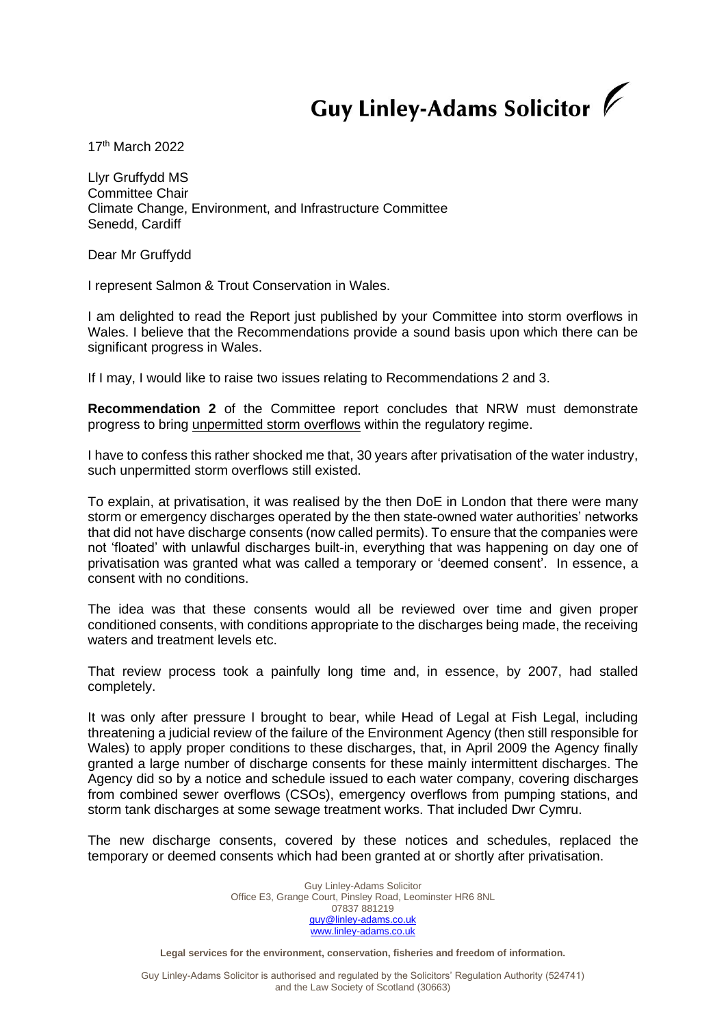## Guy Linley-Adams Solicitor V

17th March 2022

Llyr Gruffydd MS Committee Chair Climate Change, Environment, and Infrastructure Committee Senedd, Cardiff

Dear Mr Gruffydd

I represent Salmon & Trout Conservation in Wales.

I am delighted to read the Report just published by your Committee into storm overflows in Wales. I believe that the Recommendations provide a sound basis upon which there can be significant progress in Wales.

If I may, I would like to raise two issues relating to Recommendations 2 and 3.

**Recommendation 2** of the Committee report concludes that NRW must demonstrate progress to bring unpermitted storm overflows within the regulatory regime.

I have to confess this rather shocked me that, 30 years after privatisation of the water industry, such unpermitted storm overflows still existed.

To explain, at privatisation, it was realised by the then DoE in London that there were many storm or emergency discharges operated by the then state-owned water authorities' networks that did not have discharge consents (now called permits). To ensure that the companies were not 'floated' with unlawful discharges built-in, everything that was happening on day one of privatisation was granted what was called a temporary or 'deemed consent'. In essence, a consent with no conditions.

The idea was that these consents would all be reviewed over time and given proper conditioned consents, with conditions appropriate to the discharges being made, the receiving waters and treatment levels etc.

That review process took a painfully long time and, in essence, by 2007, had stalled completely.

It was only after pressure I brought to bear, while Head of Legal at Fish Legal, including threatening a judicial review of the failure of the Environment Agency (then still responsible for Wales) to apply proper conditions to these discharges, that, in April 2009 the Agency finally granted a large number of discharge consents for these mainly intermittent discharges. The Agency did so by a notice and schedule issued to each water company, covering discharges from combined sewer overflows (CSOs), emergency overflows from pumping stations, and storm tank discharges at some sewage treatment works. That included Dwr Cymru.

The new discharge consents, covered by these notices and schedules, replaced the temporary or deemed consents which had been granted at or shortly after privatisation.

> Guy Linley-Adams Solicitor Office E3, Grange Court, Pinsley Road, Leominster HR6 8NL 07837 881219 [guy@linley-adams.co.uk](mailto:guy@linley-adams.co.uk) [www.linley-adams.co.uk](http://www.linley-adams.co.uk/)

**Legal services for the environment, conservation, fisheries and freedom of information.**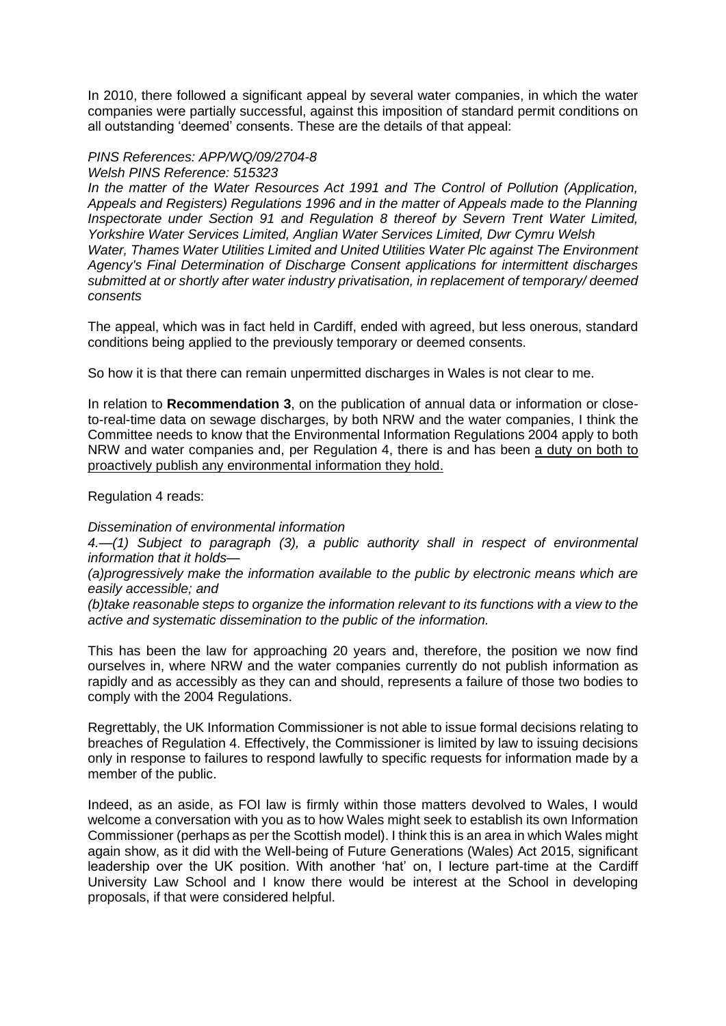In 2010, there followed a significant appeal by several water companies, in which the water companies were partially successful, against this imposition of standard permit conditions on all outstanding 'deemed' consents. These are the details of that appeal:

## *PINS References: APP/WQ/09/2704-8*

*Welsh PINS Reference: 515323* 

*In the matter of the Water Resources Act 1991 and The Control of Pollution (Application, Appeals and Registers) Regulations 1996 and in the matter of Appeals made to the Planning Inspectorate under Section 91 and Regulation 8 thereof by Severn Trent Water Limited, Yorkshire Water Services Limited, Anglian Water Services Limited, Dwr Cymru Welsh Water, Thames Water Utilities Limited and United Utilities Water Plc against The Environment Agency's Final Determination of Discharge Consent applications for intermittent discharges submitted at or shortly after water industry privatisation, in replacement of temporary/ deemed consents*

The appeal, which was in fact held in Cardiff, ended with agreed, but less onerous, standard conditions being applied to the previously temporary or deemed consents.

So how it is that there can remain unpermitted discharges in Wales is not clear to me.

In relation to **Recommendation 3**, on the publication of annual data or information or closeto-real-time data on sewage discharges, by both NRW and the water companies, I think the Committee needs to know that the Environmental Information Regulations 2004 apply to both NRW and water companies and, per Regulation 4, there is and has been a duty on both to proactively publish any environmental information they hold.

Regulation 4 reads:

*Dissemination of environmental information*

*4.—(1) Subject to paragraph (3), a public authority shall in respect of environmental information that it holds—*

*(a)progressively make the information available to the public by electronic means which are easily accessible; and*

*(b)take reasonable steps to organize the information relevant to its functions with a view to the active and systematic dissemination to the public of the information.*

This has been the law for approaching 20 years and, therefore, the position we now find ourselves in, where NRW and the water companies currently do not publish information as rapidly and as accessibly as they can and should, represents a failure of those two bodies to comply with the 2004 Regulations.

Regrettably, the UK Information Commissioner is not able to issue formal decisions relating to breaches of Regulation 4. Effectively, the Commissioner is limited by law to issuing decisions only in response to failures to respond lawfully to specific requests for information made by a member of the public.

Indeed, as an aside, as FOI law is firmly within those matters devolved to Wales, I would welcome a conversation with you as to how Wales might seek to establish its own Information Commissioner (perhaps as per the Scottish model). I think this is an area in which Wales might again show, as it did with the Well-being of Future Generations (Wales) Act 2015, significant leadership over the UK position. With another 'hat' on, I lecture part-time at the Cardiff University Law School and I know there would be interest at the School in developing proposals, if that were considered helpful.